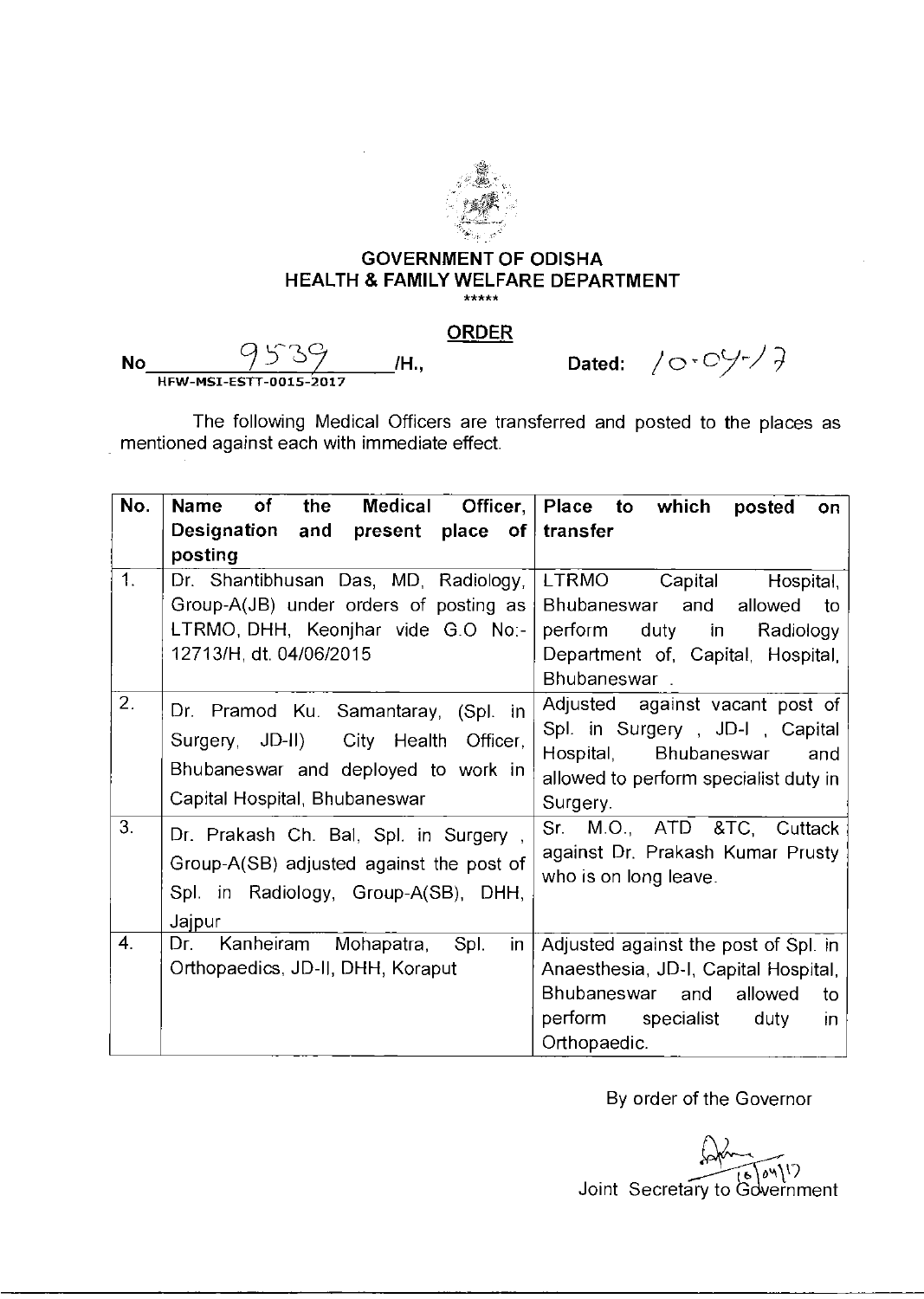

## **GOVERNMENT OF ODISHA HEALTH & FAMILY WELFARE DEPARTMENT**   $*****$

## **ORDER**

**No**  $\frac{9539}{7500}$  /H.,

Dated:  $/ \circ \circ \vee \neq \circ$ 

The following Medical Officers are transferred and posted to the places as mentioned against each with immediate effect.

| No.            | Medical<br>of<br>the<br><b>Name</b>            | Officer Place to which<br>posted<br>on     |
|----------------|------------------------------------------------|--------------------------------------------|
|                | <b>Designation</b><br>and<br>present place     | of $ $ transfer                            |
|                | posting                                        |                                            |
| 1 <sub>1</sub> | Dr. Shantibhusan Das, MD, Radiology,           | LTRMO<br>Capital<br>Hospital,              |
|                | Group-A(JB) under orders of posting as $\vert$ | Bhubaneswar and<br>allowed<br>to:          |
|                | LTRMO, DHH, Keonjhar vide G.O No:-             | perform duty in<br>Radiology               |
|                | 12713/H, dt. 04/06/2015                        | Department of, Capital, Hospital,          |
|                |                                                | Bhubaneswar.                               |
| 2.             | Dr. Pramod Ku. Samantaray, (Spl. in            | Adjusted against vacant post of            |
|                | Surgery, JD-II) City Health Officer,           | Spl. in Surgery, JD-I, Capital             |
|                |                                                | Hospital,<br>Bhubaneswar<br>and            |
|                | Bhubaneswar and deployed to work in            | allowed to perform specialist duty in      |
|                | Capital Hospital, Bhubaneswar                  | Surgery.                                   |
| 3.             | Dr. Prakash Ch. Bal, Spl. in Surgery,          | Sr. M.O., ATD &TC, Cuttack                 |
|                | Group-A(SB) adjusted against the post of       | against Dr. Prakash Kumar Prusty           |
|                | Spl. in Radiology, Group-A(SB), DHH,           | who is on long leave.                      |
|                |                                                |                                            |
| 4.             | Jajpur                                         |                                            |
|                | Kanheiram Mohapatra, Spl.<br>Dr.<br>in         | Adjusted against the post of Spl. in       |
|                | Orthopaedics, JD-II, DHH, Koraput              | Anaesthesia, JD-I, Capital Hospital,       |
|                |                                                | Bhubaneswar and<br>allowed<br>to           |
|                |                                                | perform specialist<br>duty<br>$\mathsf{I}$ |
|                |                                                | Orthopaedic.                               |

## By order of the Governor

 $4244$ Joint Secretary to Gdvernment